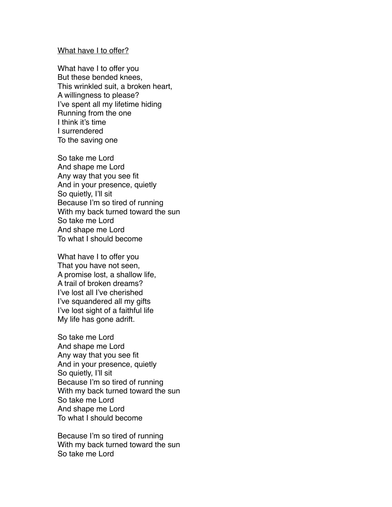## What have I to offer?

What have I to offer you But these bended knees, This wrinkled suit, a broken heart, A willingness to please? I've spent all my lifetime hiding Running from the one I think it's time I surrendered To the saving one

So take me Lord And shape me Lord Any way that you see fit And in your presence, quietly So quietly, I'll sit Because I'm so tired of running With my back turned toward the sun So take me Lord And shape me Lord To what I should become

What have I to offer you That you have not seen, A promise lost, a shallow life, A trail of broken dreams? I've lost all I've cherished I've squandered all my gifts I've lost sight of a faithful life My life has gone adrift.

So take me Lord And shape me Lord Any way that you see fit And in your presence, quietly So quietly, I'll sit Because I'm so tired of running With my back turned toward the sun So take me Lord And shape me Lord To what I should become

Because I'm so tired of running With my back turned toward the sun So take me Lord